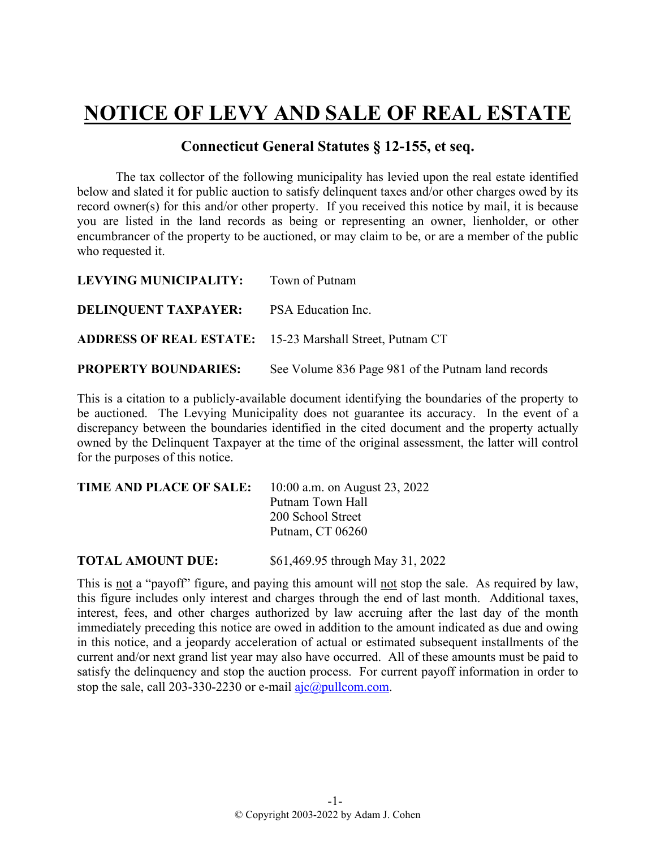## **NOTICE OF LEVY AND SALE OF REAL ESTATE**

## **Connecticut General Statutes § 12-155, et seq.**

The tax collector of the following municipality has levied upon the real estate identified below and slated it for public auction to satisfy delinquent taxes and/or other charges owed by its record owner(s) for this and/or other property. If you received this notice by mail, it is because you are listed in the land records as being or representing an owner, lienholder, or other encumbrancer of the property to be auctioned, or may claim to be, or are a member of the public who requested it.

| <b>LEVYING MUNICIPALITY:</b> Town of Putnam    |                                                                 |
|------------------------------------------------|-----------------------------------------------------------------|
| <b>DELINOUENT TAXPAYER:</b> PSA Education Inc. |                                                                 |
|                                                | <b>ADDRESS OF REAL ESTATE:</b> 15-23 Marshall Street, Putnam CT |
| <b>PROPERTY BOUNDARIES:</b>                    | See Volume 836 Page 981 of the Putnam land records              |

This is a citation to a publicly-available document identifying the boundaries of the property to be auctioned. The Levying Municipality does not guarantee its accuracy. In the event of a discrepancy between the boundaries identified in the cited document and the property actually owned by the Delinquent Taxpayer at the time of the original assessment, the latter will control for the purposes of this notice.

| <b>TIME AND PLACE OF SALE:</b> | 10:00 a.m. on August 23, 2022 |  |  |  |
|--------------------------------|-------------------------------|--|--|--|
|                                | Putnam Town Hall              |  |  |  |
|                                | 200 School Street             |  |  |  |
|                                | Putnam, CT 06260              |  |  |  |
|                                |                               |  |  |  |

**TOTAL AMOUNT DUE:** \$61,469.95 through May 31, 2022

This is not a "payoff" figure, and paying this amount will not stop the sale. As required by law, this figure includes only interest and charges through the end of last month. Additional taxes, interest, fees, and other charges authorized by law accruing after the last day of the month immediately preceding this notice are owed in addition to the amount indicated as due and owing in this notice, and a jeopardy acceleration of actual or estimated subsequent installments of the current and/or next grand list year may also have occurred. All of these amounts must be paid to satisfy the delinquency and stop the auction process. For current payoff information in order to stop the sale, call 203-330-2230 or e-mail  $a$ jc $@p$ ullcom.com.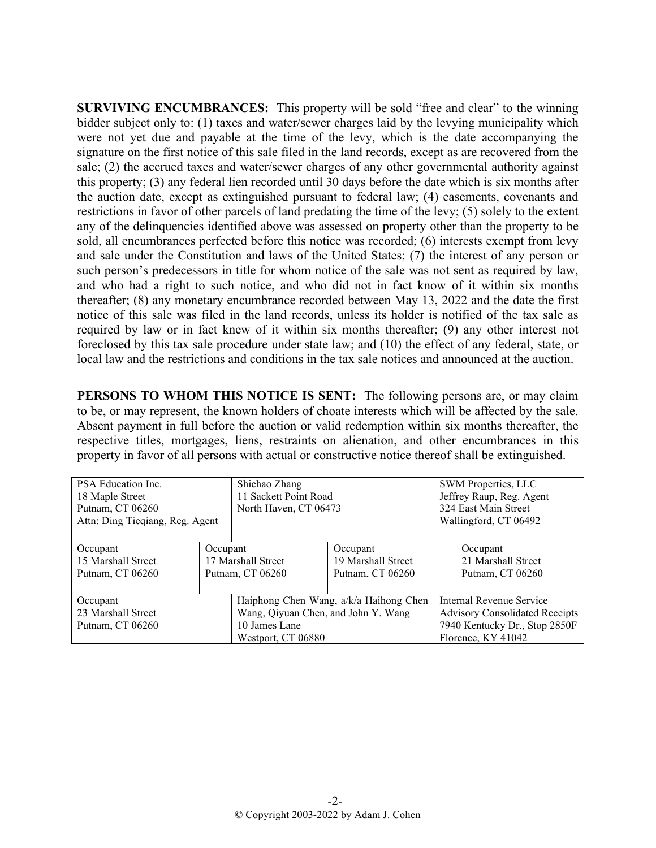**SURVIVING ENCUMBRANCES:** This property will be sold "free and clear" to the winning bidder subject only to: (1) taxes and water/sewer charges laid by the levying municipality which were not yet due and payable at the time of the levy, which is the date accompanying the signature on the first notice of this sale filed in the land records, except as are recovered from the sale; (2) the accrued taxes and water/sewer charges of any other governmental authority against this property; (3) any federal lien recorded until 30 days before the date which is six months after the auction date, except as extinguished pursuant to federal law; (4) easements, covenants and restrictions in favor of other parcels of land predating the time of the levy; (5) solely to the extent any of the delinquencies identified above was assessed on property other than the property to be sold, all encumbrances perfected before this notice was recorded; (6) interests exempt from levy and sale under the Constitution and laws of the United States; (7) the interest of any person or such person's predecessors in title for whom notice of the sale was not sent as required by law, and who had a right to such notice, and who did not in fact know of it within six months thereafter; (8) any monetary encumbrance recorded between May 13, 2022 and the date the first notice of this sale was filed in the land records, unless its holder is notified of the tax sale as required by law or in fact knew of it within six months thereafter; (9) any other interest not foreclosed by this tax sale procedure under state law; and (10) the effect of any federal, state, or local law and the restrictions and conditions in the tax sale notices and announced at the auction.

**PERSONS TO WHOM THIS NOTICE IS SENT:** The following persons are, or may claim to be, or may represent, the known holders of choate interests which will be affected by the sale. Absent payment in full before the auction or valid redemption within six months thereafter, the respective titles, mortgages, liens, restraints on alienation, and other encumbrances in this property in favor of all persons with actual or constructive notice thereof shall be extinguished.

| PSA Education Inc.<br>Shichao Zhang<br>18 Maple Street<br>Putnam, CT 06260<br>Attn: Ding Tieqiang, Reg. Agent |                                                    | 11 Sackett Point Road<br>North Haven, CT 06473                             |                                                    |                                                                                                                          | SWM Properties, LLC<br>Jeffrey Raup, Reg. Agent<br>324 East Main Street<br>Wallingford, CT 06492 |  |
|---------------------------------------------------------------------------------------------------------------|----------------------------------------------------|----------------------------------------------------------------------------|----------------------------------------------------|--------------------------------------------------------------------------------------------------------------------------|--------------------------------------------------------------------------------------------------|--|
| Occupant<br>15 Marshall Street<br>Putnam, CT 06260                                                            | Occupant<br>17 Marshall Street<br>Putnam, CT 06260 |                                                                            | Occupant<br>19 Marshall Street<br>Putnam, CT 06260 |                                                                                                                          | Occupant<br>21 Marshall Street<br>Putnam, CT 06260                                               |  |
| Occupant<br>23 Marshall Street<br>Putnam, CT 06260                                                            |                                                    | Wang, Qiyuan Chen, and John Y. Wang<br>10 James Lane<br>Westport, CT 06880 | Haiphong Chen Wang, a/k/a Haihong Chen             | Internal Revenue Service<br><b>Advisory Consolidated Receipts</b><br>7940 Kentucky Dr., Stop 2850F<br>Florence, KY 41042 |                                                                                                  |  |